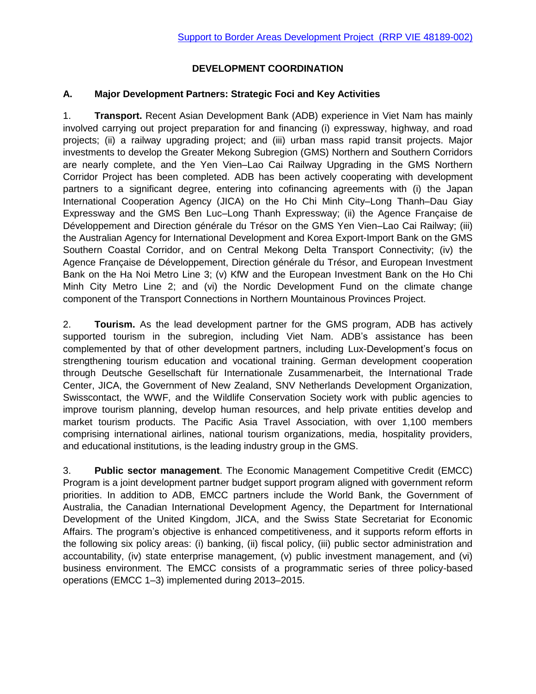# **DEVELOPMENT COORDINATION**

## **A. Major Development Partners: Strategic Foci and Key Activities**

1. **Transport.** Recent Asian Development Bank (ADB) experience in Viet Nam has mainly involved carrying out project preparation for and financing (i) expressway, highway, and road projects; (ii) a railway upgrading project; and (iii) urban mass rapid transit projects. Major investments to develop the Greater Mekong Subregion (GMS) Northern and Southern Corridors are nearly complete, and the Yen Vien–Lao Cai Railway Upgrading in the GMS Northern Corridor Project has been completed. ADB has been actively cooperating with development partners to a significant degree, entering into cofinancing agreements with (i) the Japan International Cooperation Agency (JICA) on the Ho Chi Minh City–Long Thanh–Dau Giay Expressway and the GMS Ben Luc–Long Thanh Expressway; (ii) the Agence Française de Développement and Direction générale du Trésor on the GMS Yen Vien–Lao Cai Railway; (iii) the Australian Agency for International Development and Korea Export-Import Bank on the GMS Southern Coastal Corridor, and on Central Mekong Delta Transport Connectivity; (iv) the Agence Française de Développement, Direction générale du Trésor, and European Investment Bank on the Ha Noi Metro Line 3; (v) KfW and the European Investment Bank on the Ho Chi Minh City Metro Line 2; and (vi) the Nordic Development Fund on the climate change component of the Transport Connections in Northern Mountainous Provinces Project.

2. **Tourism.** As the lead development partner for the GMS program, ADB has actively supported tourism in the subregion, including Viet Nam. ADB's assistance has been complemented by that of other development partners, including Lux-Development's focus on strengthening tourism education and vocational training. German development cooperation through Deutsche Gesellschaft für Internationale Zusammenarbeit, the International Trade Center, JICA, the Government of New Zealand, SNV Netherlands Development Organization, Swisscontact, the WWF, and the Wildlife Conservation Society work with public agencies to improve tourism planning, develop human resources, and help private entities develop and market tourism products. The Pacific Asia Travel Association, with over 1,100 members comprising international airlines, national tourism organizations, media, hospitality providers, and educational institutions, is the leading industry group in the GMS.

3. **Public sector management**. The Economic Management Competitive Credit (EMCC) Program is a joint development partner budget support program aligned with government reform priorities. In addition to ADB, EMCC partners include the World Bank, the Government of Australia, the Canadian International Development Agency, the Department for International Development of the United Kingdom, JICA, and the Swiss State Secretariat for Economic Affairs. The program's objective is enhanced competitiveness, and it supports reform efforts in the following six policy areas: (i) banking, (ii) fiscal policy, (iii) public sector administration and accountability, (iv) state enterprise management, (v) public investment management, and (vi) business environment. The EMCC consists of a programmatic series of three policy-based operations (EMCC 1–3) implemented during 2013–2015.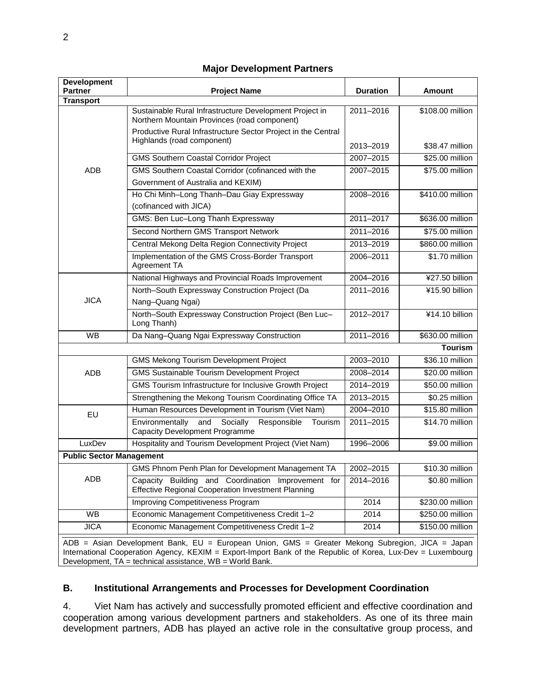| <b>Development</b><br><b>Partner</b>                                                                                                                                                                                                                                       | <b>Project Name</b>                                                                                             | <b>Duration</b> | <b>Amount</b>    |
|----------------------------------------------------------------------------------------------------------------------------------------------------------------------------------------------------------------------------------------------------------------------------|-----------------------------------------------------------------------------------------------------------------|-----------------|------------------|
| <b>Transport</b>                                                                                                                                                                                                                                                           |                                                                                                                 |                 |                  |
| <b>ADB</b>                                                                                                                                                                                                                                                                 | Sustainable Rural Infrastructure Development Project in<br>Northern Mountain Provinces (road component)         | 2011-2016       | \$108.00 million |
|                                                                                                                                                                                                                                                                            | Productive Rural Infrastructure Sector Project in the Central<br>Highlands (road component)                     | 2013-2019       | \$38.47 million  |
|                                                                                                                                                                                                                                                                            | <b>GMS Southern Coastal Corridor Project</b>                                                                    | 2007-2015       | \$25.00 million  |
|                                                                                                                                                                                                                                                                            | GMS Southern Coastal Corridor (cofinanced with the                                                              | 2007-2015       | \$75.00 million  |
|                                                                                                                                                                                                                                                                            | Government of Australia and KEXIM)                                                                              |                 |                  |
|                                                                                                                                                                                                                                                                            | Ho Chi Minh-Long Thanh-Dau Giay Expressway<br>(cofinanced with JICA)                                            | 2008-2016       | \$410.00 million |
|                                                                                                                                                                                                                                                                            | GMS: Ben Luc-Long Thanh Expressway                                                                              | 2011-2017       | \$636.00 million |
|                                                                                                                                                                                                                                                                            | Second Northern GMS Transport Network                                                                           | 2011-2016       | \$75.00 million  |
|                                                                                                                                                                                                                                                                            | Central Mekong Delta Region Connectivity Project                                                                | 2013-2019       | \$860.00 million |
|                                                                                                                                                                                                                                                                            | Implementation of the GMS Cross-Border Transport<br>Agreement TA                                                | 2006-2011       | \$1.70 million   |
| <b>JICA</b>                                                                                                                                                                                                                                                                | National Highways and Provincial Roads Improvement                                                              | 2004-2016       | ¥27.50 billion   |
|                                                                                                                                                                                                                                                                            | North-South Expressway Construction Project (Da                                                                 | $2011 - 2016$   | ¥15.90 billion   |
|                                                                                                                                                                                                                                                                            | Nang-Quang Ngai)                                                                                                |                 |                  |
|                                                                                                                                                                                                                                                                            | North-South Expressway Construction Project (Ben Luc-<br>Long Thanh)                                            | 2012-2017       | ¥14.10 billion   |
| <b>WB</b>                                                                                                                                                                                                                                                                  | Da Nang-Quang Ngai Expressway Construction                                                                      | 2011-2016       | \$630.00 million |
|                                                                                                                                                                                                                                                                            |                                                                                                                 |                 | <b>Tourism</b>   |
| ADB                                                                                                                                                                                                                                                                        | <b>GMS Mekong Tourism Development Project</b>                                                                   | 2003-2010       | \$36.10 million  |
|                                                                                                                                                                                                                                                                            | <b>GMS Sustainable Tourism Development Project</b>                                                              | 2008-2014       | \$20.00 million  |
|                                                                                                                                                                                                                                                                            | GMS Tourism Infrastructure for Inclusive Growth Project                                                         | 2014-2019       | \$50.00 million  |
|                                                                                                                                                                                                                                                                            | Strengthening the Mekong Tourism Coordinating Office TA                                                         | 2013-2015       | \$0.25 million   |
| EU                                                                                                                                                                                                                                                                         | Human Resources Development in Tourism (Viet Nam)                                                               | 2004-2010       | \$15.80 million  |
|                                                                                                                                                                                                                                                                            | Environmentally<br>Socially<br>and<br>Responsible<br>Tourism<br><b>Capacity Development Programme</b>           | 2011-2015       | \$14.70 million  |
| LuxDev                                                                                                                                                                                                                                                                     | Hospitality and Tourism Development Project (Viet Nam)                                                          | 1996-2006       | \$9.00 million   |
| <b>Public Sector Management</b>                                                                                                                                                                                                                                            |                                                                                                                 |                 |                  |
| ADB                                                                                                                                                                                                                                                                        | GMS Phnom Penh Plan for Development Management TA                                                               | 2002-2015       | \$10.30 million  |
|                                                                                                                                                                                                                                                                            | Capacity Building and Coordination Improvement for<br><b>Effective Regional Cooperation Investment Planning</b> | 2014-2016       | \$0.80 million   |
|                                                                                                                                                                                                                                                                            | <b>Improving Competitiveness Program</b>                                                                        | 2014            | \$230.00 million |
| WB                                                                                                                                                                                                                                                                         | Economic Management Competitiveness Credit 1-2                                                                  | 2014            | \$250.00 million |
| <b>JICA</b>                                                                                                                                                                                                                                                                | Economic Management Competitiveness Credit 1-2                                                                  | 2014            | \$150.00 million |
| ADB = Asian Development Bank, EU = European Union, GMS = Greater Mekong Subregion, JICA = Japan<br>International Cooperation Agency, KEXIM = Export-Import Bank of the Republic of Korea, Lux-Dev = Luxembourg<br>Development, TA = technical assistance, WB = World Bank. |                                                                                                                 |                 |                  |

### **Major Development Partners**

### **B. Institutional Arrangements and Processes for Development Coordination**

4. Viet Nam has actively and successfully promoted efficient and effective coordination and cooperation among various development partners and stakeholders. As one of its three main development partners, ADB has played an active role in the consultative group process, and